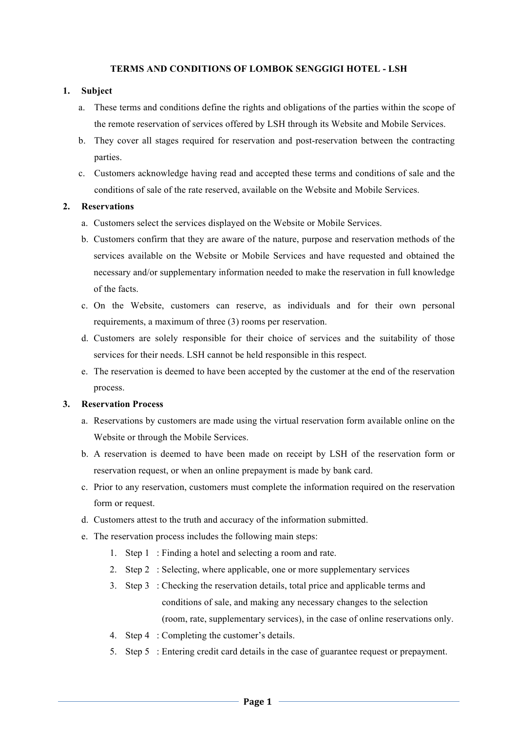#### **TERMS AND CONDITIONS OF LOMBOK SENGGIGI HOTEL - LSH**

### **1. Subject**

- a. These terms and conditions define the rights and obligations of the parties within the scope of the remote reservation of services offered by LSH through its Website and Mobile Services.
- b. They cover all stages required for reservation and post-reservation between the contracting parties.
- c. Customers acknowledge having read and accepted these terms and conditions of sale and the conditions of sale of the rate reserved, available on the Website and Mobile Services.

### **2. Reservations**

- a. Customers select the services displayed on the Website or Mobile Services.
- b. Customers confirm that they are aware of the nature, purpose and reservation methods of the services available on the Website or Mobile Services and have requested and obtained the necessary and/or supplementary information needed to make the reservation in full knowledge of the facts.
- c. On the Website, customers can reserve, as individuals and for their own personal requirements, a maximum of three (3) rooms per reservation.
- d. Customers are solely responsible for their choice of services and the suitability of those services for their needs. LSH cannot be held responsible in this respect.
- e. The reservation is deemed to have been accepted by the customer at the end of the reservation process.

#### **3. Reservation Process**

- a. Reservations by customers are made using the virtual reservation form available online on the Website or through the Mobile Services.
- b. A reservation is deemed to have been made on receipt by LSH of the reservation form or reservation request, or when an online prepayment is made by bank card.
- c. Prior to any reservation, customers must complete the information required on the reservation form or request.
- d. Customers attest to the truth and accuracy of the information submitted.
- e. The reservation process includes the following main steps:
	- 1. Step 1 : Finding a hotel and selecting a room and rate.
	- 2. Step 2 : Selecting, where applicable, one or more supplementary services
	- 3. Step 3 : Checking the reservation details, total price and applicable terms and conditions of sale, and making any necessary changes to the selection (room, rate, supplementary services), in the case of online reservations only.
	- 4. Step 4 : Completing the customer's details.
	- 5. Step 5 : Entering credit card details in the case of guarantee request or prepayment.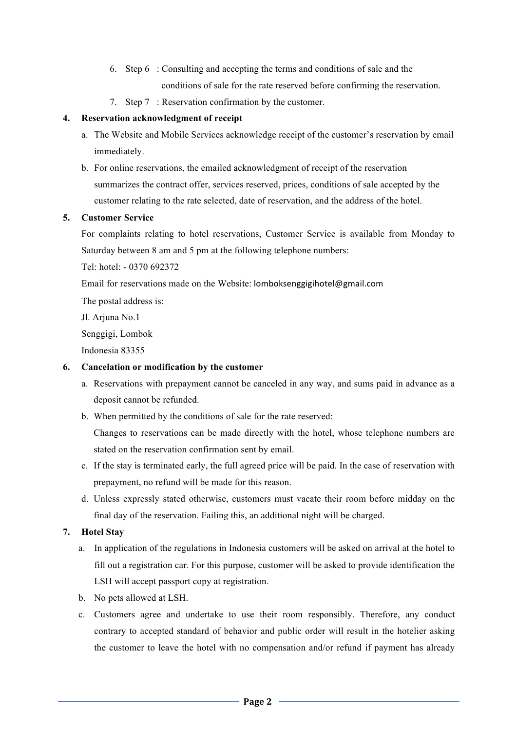- 6. Step 6 : Consulting and accepting the terms and conditions of sale and the conditions of sale for the rate reserved before confirming the reservation.
- 7. Step 7 : Reservation confirmation by the customer.

# **4. Reservation acknowledgment of receipt**

- a. The Website and Mobile Services acknowledge receipt of the customer's reservation by email immediately.
- b. For online reservations, the emailed acknowledgment of receipt of the reservation summarizes the contract offer, services reserved, prices, conditions of sale accepted by the customer relating to the rate selected, date of reservation, and the address of the hotel.

# **5. Customer Service**

For complaints relating to hotel reservations, Customer Service is available from Monday to Saturday between 8 am and 5 pm at the following telephone numbers:

Tel: hotel: - 0370 692372

Email for reservations made on the Website: lomboksenggigihotel@gmail.com

The postal address is:

Jl. Arjuna No.1

Senggigi, Lombok

Indonesia 83355

# **6. Cancelation or modification by the customer**

- a. Reservations with prepayment cannot be canceled in any way, and sums paid in advance as a deposit cannot be refunded.
- b. When permitted by the conditions of sale for the rate reserved:

Changes to reservations can be made directly with the hotel, whose telephone numbers are stated on the reservation confirmation sent by email.

- c. If the stay is terminated early, the full agreed price will be paid. In the case of reservation with prepayment, no refund will be made for this reason.
- d. Unless expressly stated otherwise, customers must vacate their room before midday on the final day of the reservation. Failing this, an additional night will be charged.

# **7. Hotel Stay**

- a. In application of the regulations in Indonesia customers will be asked on arrival at the hotel to fill out a registration car. For this purpose, customer will be asked to provide identification the LSH will accept passport copy at registration.
- b. No pets allowed at LSH.
- c. Customers agree and undertake to use their room responsibly. Therefore, any conduct contrary to accepted standard of behavior and public order will result in the hotelier asking the customer to leave the hotel with no compensation and/or refund if payment has already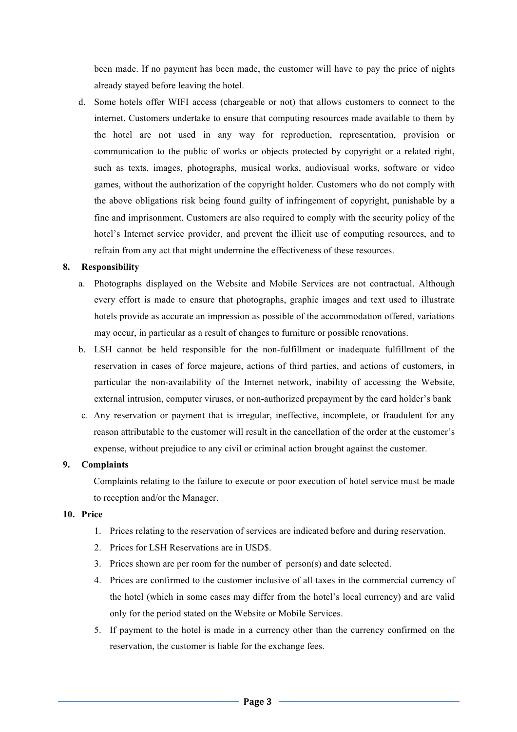been made. If no payment has been made, the customer will have to pay the price of nights already stayed before leaving the hotel.

d. Some hotels offer WIFI access (chargeable or not) that allows customers to connect to the internet. Customers undertake to ensure that computing resources made available to them by the hotel are not used in any way for reproduction, representation, provision or communication to the public of works or objects protected by copyright or a related right, such as texts, images, photographs, musical works, audiovisual works, software or video games, without the authorization of the copyright holder. Customers who do not comply with the above obligations risk being found guilty of infringement of copyright, punishable by a fine and imprisonment. Customers are also required to comply with the security policy of the hotel's Internet service provider, and prevent the illicit use of computing resources, and to refrain from any act that might undermine the effectiveness of these resources.

#### **8. Responsibility**

- a. Photographs displayed on the Website and Mobile Services are not contractual. Although every effort is made to ensure that photographs, graphic images and text used to illustrate hotels provide as accurate an impression as possible of the accommodation offered, variations may occur, in particular as a result of changes to furniture or possible renovations.
- b. LSH cannot be held responsible for the non-fulfillment or inadequate fulfillment of the reservation in cases of force majeure, actions of third parties, and actions of customers, in particular the non-availability of the Internet network, inability of accessing the Website, external intrusion, computer viruses, or non-authorized prepayment by the card holder's bank
- c. Any reservation or payment that is irregular, ineffective, incomplete, or fraudulent for any reason attributable to the customer will result in the cancellation of the order at the customer's expense, without prejudice to any civil or criminal action brought against the customer.

#### **9. Complaints**

Complaints relating to the failure to execute or poor execution of hotel service must be made to reception and/or the Manager.

#### **10. Price**

- 1. Prices relating to the reservation of services are indicated before and during reservation.
- 2. Prices for LSH Reservations are in USD\$.
- 3. Prices shown are per room for the number of person(s) and date selected.
- 4. Prices are confirmed to the customer inclusive of all taxes in the commercial currency of the hotel (which in some cases may differ from the hotel's local currency) and are valid only for the period stated on the Website or Mobile Services.
- 5. If payment to the hotel is made in a currency other than the currency confirmed on the reservation, the customer is liable for the exchange fees.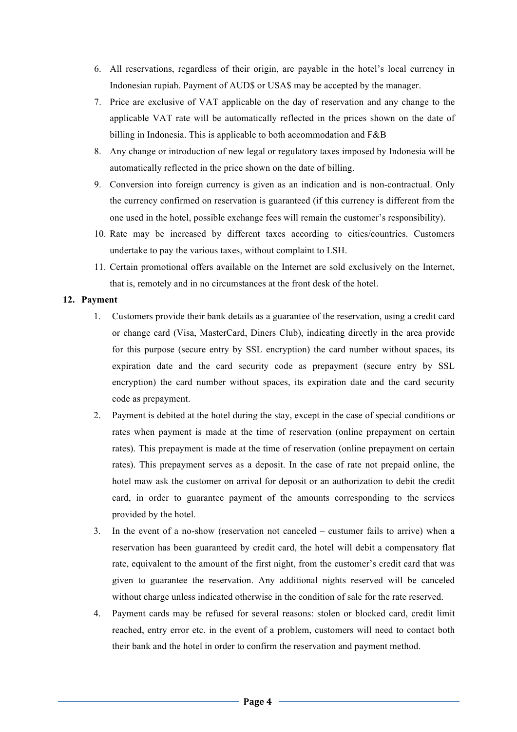- 6. All reservations, regardless of their origin, are payable in the hotel's local currency in Indonesian rupiah. Payment of AUD\$ or USA\$ may be accepted by the manager.
- 7. Price are exclusive of VAT applicable on the day of reservation and any change to the applicable VAT rate will be automatically reflected in the prices shown on the date of billing in Indonesia. This is applicable to both accommodation and F&B
- 8. Any change or introduction of new legal or regulatory taxes imposed by Indonesia will be automatically reflected in the price shown on the date of billing.
- 9. Conversion into foreign currency is given as an indication and is non-contractual. Only the currency confirmed on reservation is guaranteed (if this currency is different from the one used in the hotel, possible exchange fees will remain the customer's responsibility).
- 10. Rate may be increased by different taxes according to cities/countries. Customers undertake to pay the various taxes, without complaint to LSH.
- 11. Certain promotional offers available on the Internet are sold exclusively on the Internet, that is, remotely and in no circumstances at the front desk of the hotel.

# **12. Payment**

- 1. Customers provide their bank details as a guarantee of the reservation, using a credit card or change card (Visa, MasterCard, Diners Club), indicating directly in the area provide for this purpose (secure entry by SSL encryption) the card number without spaces, its expiration date and the card security code as prepayment (secure entry by SSL encryption) the card number without spaces, its expiration date and the card security code as prepayment.
- 2. Payment is debited at the hotel during the stay, except in the case of special conditions or rates when payment is made at the time of reservation (online prepayment on certain rates). This prepayment is made at the time of reservation (online prepayment on certain rates). This prepayment serves as a deposit. In the case of rate not prepaid online, the hotel maw ask the customer on arrival for deposit or an authorization to debit the credit card, in order to guarantee payment of the amounts corresponding to the services provided by the hotel.
- 3. In the event of a no-show (reservation not canceled custumer fails to arrive) when a reservation has been guaranteed by credit card, the hotel will debit a compensatory flat rate, equivalent to the amount of the first night, from the customer's credit card that was given to guarantee the reservation. Any additional nights reserved will be canceled without charge unless indicated otherwise in the condition of sale for the rate reserved.
- 4. Payment cards may be refused for several reasons: stolen or blocked card, credit limit reached, entry error etc. in the event of a problem, customers will need to contact both their bank and the hotel in order to confirm the reservation and payment method.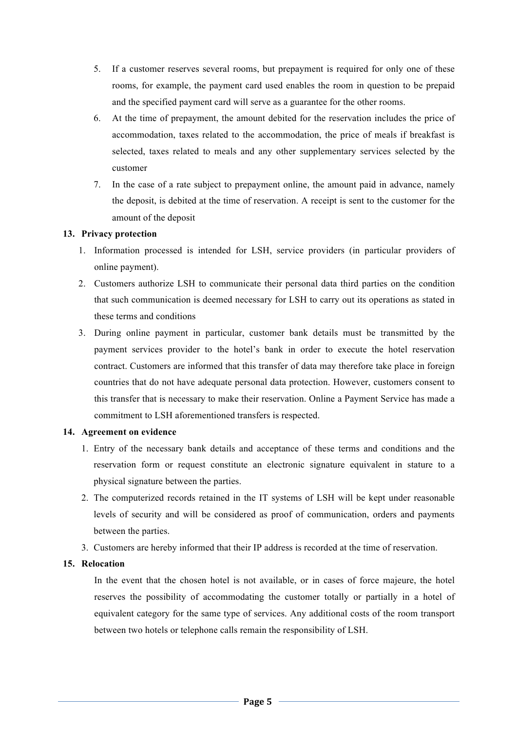- 5. If a customer reserves several rooms, but prepayment is required for only one of these rooms, for example, the payment card used enables the room in question to be prepaid and the specified payment card will serve as a guarantee for the other rooms.
- 6. At the time of prepayment, the amount debited for the reservation includes the price of accommodation, taxes related to the accommodation, the price of meals if breakfast is selected, taxes related to meals and any other supplementary services selected by the customer
- 7. In the case of a rate subject to prepayment online, the amount paid in advance, namely the deposit, is debited at the time of reservation. A receipt is sent to the customer for the amount of the deposit

# **13. Privacy protection**

- 1. Information processed is intended for LSH, service providers (in particular providers of online payment).
- 2. Customers authorize LSH to communicate their personal data third parties on the condition that such communication is deemed necessary for LSH to carry out its operations as stated in these terms and conditions
- 3. During online payment in particular, customer bank details must be transmitted by the payment services provider to the hotel's bank in order to execute the hotel reservation contract. Customers are informed that this transfer of data may therefore take place in foreign countries that do not have adequate personal data protection. However, customers consent to this transfer that is necessary to make their reservation. Online a Payment Service has made a commitment to LSH aforementioned transfers is respected.

# **14. Agreement on evidence**

- 1. Entry of the necessary bank details and acceptance of these terms and conditions and the reservation form or request constitute an electronic signature equivalent in stature to a physical signature between the parties.
- 2. The computerized records retained in the IT systems of LSH will be kept under reasonable levels of security and will be considered as proof of communication, orders and payments between the parties.
- 3. Customers are hereby informed that their IP address is recorded at the time of reservation.

# **15. Relocation**

In the event that the chosen hotel is not available, or in cases of force majeure, the hotel reserves the possibility of accommodating the customer totally or partially in a hotel of equivalent category for the same type of services. Any additional costs of the room transport between two hotels or telephone calls remain the responsibility of LSH.